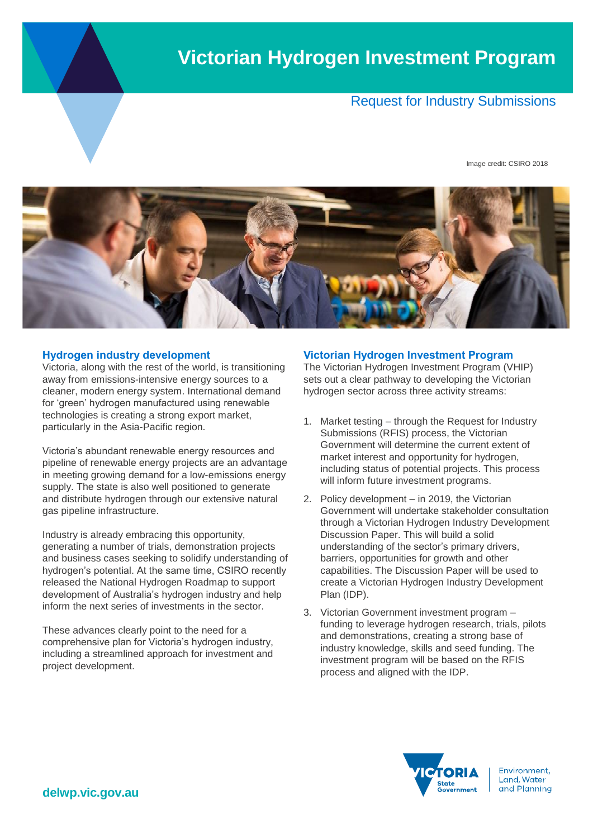# **Victorian Hydrogen Investment Program**

## Request for Industry Submissions

Image credit: CSIRO 2018



#### **Hydrogen industry development**

Victoria, along with the rest of the world, is transitioning away from emissions-intensive energy sources to a cleaner, modern energy system. International demand for 'green' hydrogen manufactured using renewable technologies is creating a strong export market, particularly in the Asia-Pacific region.

Victoria's abundant renewable energy resources and pipeline of renewable energy projects are an advantage in meeting growing demand for a low-emissions energy supply. The state is also well positioned to generate and distribute hydrogen through our extensive natural gas pipeline infrastructure.

Industry is already embracing this opportunity, generating a number of trials, demonstration projects and business cases seeking to solidify understanding of hydrogen's potential. At the same time, CSIRO recently released the National Hydrogen Roadmap to support development of Australia's hydrogen industry and help inform the next series of investments in the sector.

These advances clearly point to the need for a comprehensive plan for Victoria's hydrogen industry, including a streamlined approach for investment and project development.

#### **Victorian Hydrogen Investment Program**

The Victorian Hydrogen Investment Program (VHIP) sets out a clear pathway to developing the Victorian hydrogen sector across three activity streams:

- 1. Market testing through the Request for Industry Submissions (RFIS) process, the Victorian Government will determine the current extent of market interest and opportunity for hydrogen, including status of potential projects. This process will inform future investment programs.
- 2. Policy development in 2019, the Victorian Government will undertake stakeholder consultation through a Victorian Hydrogen Industry Development Discussion Paper. This will build a solid understanding of the sector's primary drivers, barriers, opportunities for growth and other capabilities. The Discussion Paper will be used to create a Victorian Hydrogen Industry Development Plan (IDP).
- 3. Victorian Government investment program funding to leverage hydrogen research, trials, pilots and demonstrations, creating a strong base of industry knowledge, skills and seed funding. The investment program will be based on the RFIS process and aligned with the IDP.



Environment, Land, Water and Planning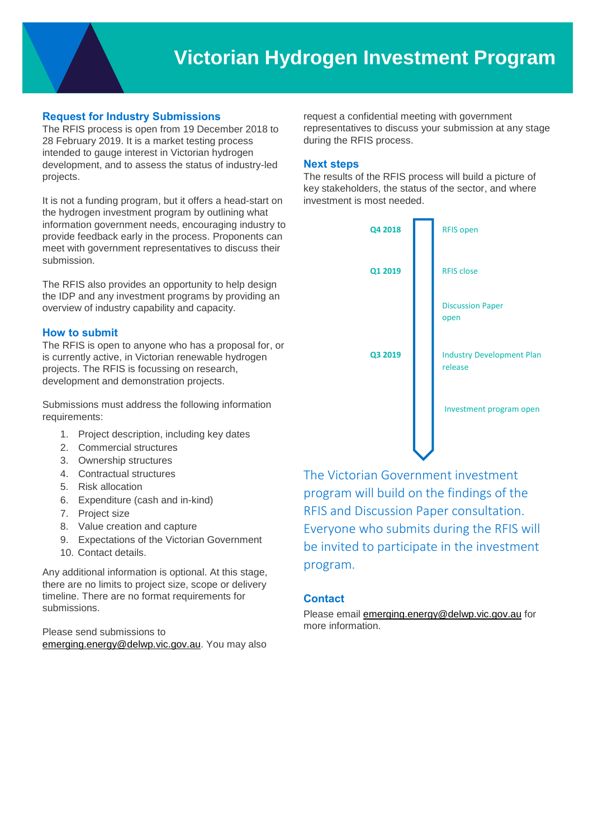### **Request for Industry Submissions**

The RFIS process is open from 19 December 2018 to 28 February 2019. It is a market testing process intended to gauge interest in Victorian hydrogen development, and to assess the status of industry-led projects.

It is not a funding program, but it offers a head-start on the hydrogen investment program by outlining what information government needs, encouraging industry to provide feedback early in the process. Proponents can meet with government representatives to discuss their submission.

The RFIS also provides an opportunity to help design the IDP and any investment programs by providing an overview of industry capability and capacity.

#### **How to submit**

The RFIS is open to anyone who has a proposal for, or is currently active, in Victorian renewable hydrogen projects. The RFIS is focussing on research, development and demonstration projects.

Submissions must address the following information requirements:

- 1. Project description, including key dates
- 2. Commercial structures
- 3. Ownership structures
- 4. Contractual structures
- 5. Risk allocation
- 6. Expenditure (cash and in-kind)
- 7. Project size
- 8. Value creation and capture
- 9. Expectations of the Victorian Government
- 10. Contact details.

Any additional information is optional. At this stage, there are no limits to project size, scope or delivery timeline. There are no format requirements for submissions.

Please send submissions to [emerging.energy@delwp.vic.gov.au.](mailto:emerging.energy@delwp.vic.gov.au) You may also

request a confidential meeting with government representatives to discuss your submission at any stage during the RFIS process.

#### **Next steps**

The results of the RFIS process will build a picture of key stakeholders, the status of the sector, and where investment is most needed.



The Victorian Government investment program will build on the findings of the RFIS and Discussion Paper consultation. Everyone who submits during the RFIS will be invited to participate in the investment program.

#### **Contact**

Please email [emerging.energy@delwp.vic.gov.au](mailto:emerging.energy@delwp.vic.gov.au) for more information.